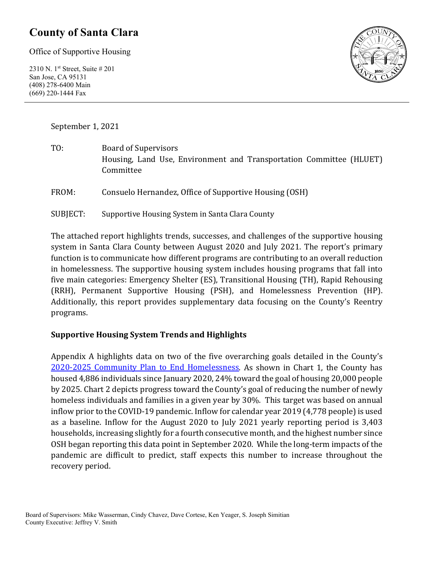## **County of Santa Clara**

Office of Supportive Housing

2310 N. 1st Street, Suite # 201 San Jose, CA 95131 (408) 278-6400 Main (669) 220-1444 Fax



September 1, 2021

TO: Board of Supervisors Housing, Land Use, Environment and Transportation Committee (HLUET) Committee

FROM: Consuelo Hernandez, Office of Supportive Housing (OSH)

SUBJECT: Supportive Housing System in Santa Clara County

The attached report highlights trends, successes, and challenges of the supportive housing system in Santa Clara County between August 2020 and July 2021. The report's primary function is to communicate how different programs are contributing to an overall reduction in homelessness. The supportive housing system includes housing programs that fall into five main categories: Emergency Shelter (ES), Transitional Housing (TH), Rapid Rehousing (RRH), Permanent Supportive Housing (PSH), and Homelessness Prevention (HP). Additionally, this report provides supplementary data focusing on the County's Reentry programs.

#### **Supportive Housing System Trends and Highlights**

Appendix A highlights data on two of the five overarching goals detailed in the County's [2020-2025 Community Plan to End Homelessness.](https://www.sccgov.org/sites/yes/takeaction/Pages/2020-Santa-Clara-County-Community-Plan-to-End-Homelessness-.aspx) As shown in Chart 1, the County has housed 4,886 individuals since January 2020, 24% toward the goal of housing 20,000 people by 2025. Chart 2 depicts progress toward the County's goal of reducing the number of newly homeless individuals and families in a given year by 30%. This target was based on annual inflow prior to the COVID-19 pandemic. Inflow for calendar year 2019 (4,778 people) is used as a baseline. Inflow for the August 2020 to July 2021 yearly reporting period is 3,403 households, increasing slightly for a fourth consecutive month, and the highest number since OSH began reporting this data point in September 2020. While the long-term impacts of the pandemic are difficult to predict, staff expects this number to increase throughout the recovery period.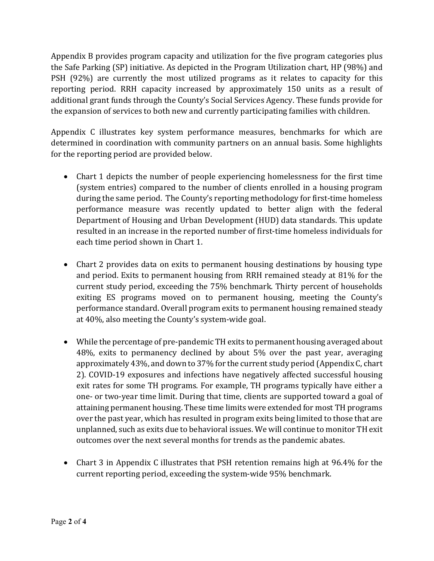Appendix B provides program capacity and utilization for the five program categories plus the Safe Parking (SP) initiative. As depicted in the Program Utilization chart, HP (98%) and PSH (92%) are currently the most utilized programs as it relates to capacity for this reporting period. RRH capacity increased by approximately 150 units as a result of additional grant funds through the County's Social Services Agency. These funds provide for the expansion of services to both new and currently participating families with children.

Appendix C illustrates key system performance measures, benchmarks for which are determined in coordination with community partners on an annual basis. Some highlights for the reporting period are provided below.

- Chart 1 depicts the number of people experiencing homelessness for the first time (system entries) compared to the number of clients enrolled in a housing program during the same period. The County's reporting methodology for first-time homeless performance measure was recently updated to better align with the federal Department of Housing and Urban Development (HUD) data standards. This update resulted in an increase in the reported number of first-time homeless individuals for each time period shown in Chart 1.
- Chart 2 provides data on exits to permanent housing destinations by housing type and period. Exits to permanent housing from RRH remained steady at 81% for the current study period, exceeding the 75% benchmark. Thirty percent of households exiting ES programs moved on to permanent housing, meeting the County's performance standard. Overall program exits to permanent housing remained steady at 40%, also meeting the County's system-wide goal.
- While the percentage of pre-pandemic TH exits to permanent housing averaged about 48%, exits to permanency declined by about 5% over the past year, averaging approximately 43%, and down to 37% for the current study period (Appendix C, chart 2). COVID-19 exposures and infections have negatively affected successful housing exit rates for some TH programs. For example, TH programs typically have either a one- or two-year time limit. During that time, clients are supported toward a goal of attaining permanent housing. These time limits were extended for most TH programs over the past year, which has resulted in program exits being limited to those that are unplanned, such as exits due to behavioral issues. We will continue to monitor TH exit outcomes over the next several months for trends as the pandemic abates.
- Chart 3 in Appendix C illustrates that PSH retention remains high at 96.4% for the current reporting period, exceeding the system-wide 95% benchmark.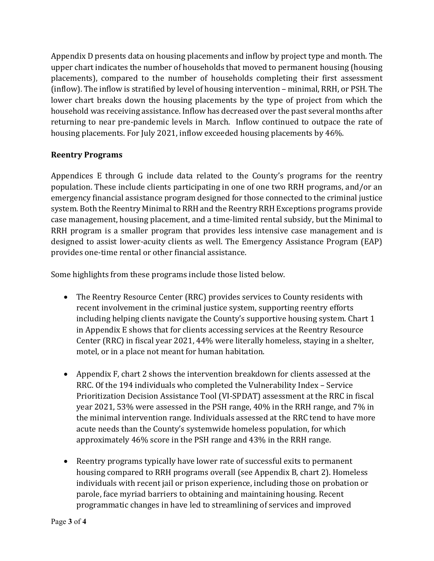Appendix D presents data on housing placements and inflow by project type and month. The upper chart indicates the number of households that moved to permanent housing (housing placements), compared to the number of households completing their first assessment (inflow). The inflow is stratified by level of housing intervention – minimal, RRH, or PSH. The lower chart breaks down the housing placements by the type of project from which the household was receiving assistance. Inflow has decreased over the past several months after returning to near pre-pandemic levels in March. Inflow continued to outpace the rate of housing placements. For July 2021, inflow exceeded housing placements by 46%.

#### **Reentry Programs**

Appendices E through G include data related to the County's programs for the reentry population. These include clients participating in one of one two RRH programs, and/or an emergency financial assistance program designed for those connected to the criminal justice system. Both the Reentry Minimal to RRH and the Reentry RRH Exceptions programs provide case management, housing placement, and a time-limited rental subsidy, but the Minimal to RRH program is a smaller program that provides less intensive case management and is designed to assist lower-acuity clients as well. The Emergency Assistance Program (EAP) provides one-time rental or other financial assistance.

Some highlights from these programs include those listed below.

- The Reentry Resource Center (RRC) provides services to County residents with recent involvement in the criminal justice system, supporting reentry efforts including helping clients navigate the County's supportive housing system. Chart 1 in Appendix E shows that for clients accessing services at the Reentry Resource Center (RRC) in fiscal year 2021, 44% were literally homeless, staying in a shelter, motel, or in a place not meant for human habitation.
- Appendix F, chart 2 shows the intervention breakdown for clients assessed at the RRC. Of the 194 individuals who completed the Vulnerability Index – Service Prioritization Decision Assistance Tool (VI-SPDAT) assessment at the RRC in fiscal year 2021, 53% were assessed in the PSH range, 40% in the RRH range, and 7% in the minimal intervention range. Individuals assessed at the RRC tend to have more acute needs than the County's systemwide homeless population, for which approximately 46% score in the PSH range and 43% in the RRH range.
- Reentry programs typically have lower rate of successful exits to permanent housing compared to RRH programs overall (see Appendix B, chart 2). Homeless individuals with recent jail or prison experience, including those on probation or parole, face myriad barriers to obtaining and maintaining housing. Recent programmatic changes in have led to streamlining of services and improved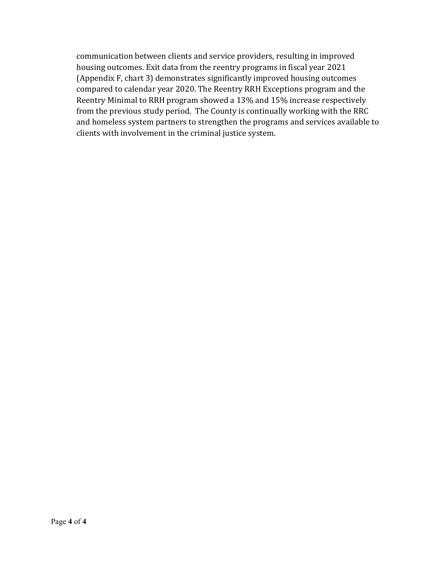communication between clients and service providers, resulting in improved housing outcomes. Exit data from the reentry programs in fiscal year 2021 (Appendix F, chart 3) demonstrates significantly improved housing outcomes compared to calendar year 2020. The Reentry RRH Exceptions program and the Reentry Minimal to RRH program showed a 13% and 15% increase respectively from the previous study period. The County is continually working with the RRC and homeless system partners to strengthen the programs and services available to clients with involvement in the criminal justice system.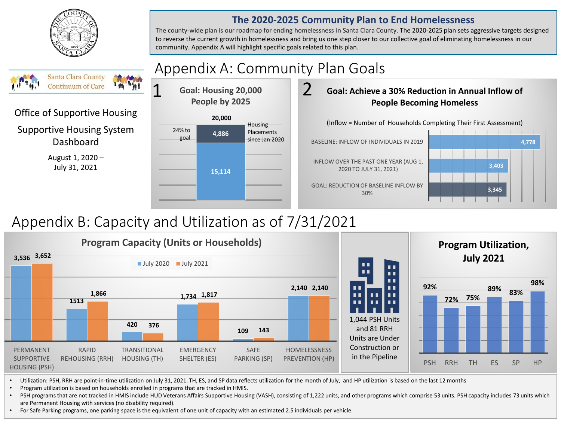

#### **The 2020-2025 Community Plan to End Homelessness**

The county-wide plan is our roadmap for ending homelessness in Santa Clara County. The 2020-2025 plan sets aggressive targets designed to reverse the current growth in homelessness and bring us one step closer to our collective goal of eliminating homelessness in our community. Appendix A will highlight specific goals related to this plan.

#### Appendix A: Community Plan Goals Santa Clara County 1 **Continuum of Care** 2 **Goal: Housing 20,000 Goal: Achieve a 30% Reduction in Annual Inflow of People by 2025 People Becoming Homeless** Office of Supportive Housing **20,000** (Inflow = Number of Households Completing Their First Assessment) **Housing** Supportive Housing System 24% to Placements **4,886** goal Dashboard since Jan 2020 BASELINE: INFLOW OF INDIVIDUALS IN 2019 **4,778** August 1, 2020 – INFLOW OVER THE PAST ONE YEAR (AUG 1, **3,403**  July 31, 2021 2020 TO JULY 31, 2021) **15,114** GOAL: REDUCTION OF BASELINE INFLOW BY **3,345**  30%

# Appendix B: Capacity and Utilization as of 7/31/2021



- Utilization: PSH, RRH are point-in-time utilization on July 31, 2021. TH, ES, and SP data reflects utilization for the month of July, and HP utilization is based on the last 12 months
- Program utilization is based on households enrolled in programs that are tracked in HMIS.
- PSH programs that are not tracked in HMIS include HUD Veterans Affairs Supportive Housing (VASH), consisting of 1,222 units, and other programs which comprise 53 units. PSH capacity includes 73 units which are Permanent Housing with services (no disability required).
- For Safe Parking programs, one parking space is the equivalent of one unit of capacity with an estimated 2.5 individuals per vehicle.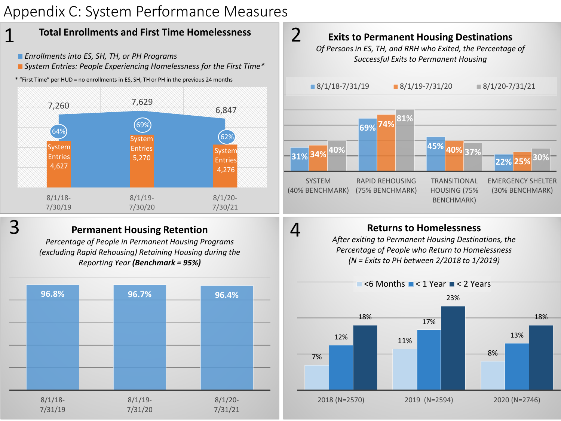# Appendix C: System Performance Measures



- *Enrollments into ES, SH, TH, or PH Programs*
- *System Entries: People Experiencing Homelessness for the First Time\**
- \* "First Time" per HUD = no enrollments in ES, SH, TH or PH in the previous 24 months



## 3

1

### **Permanent Housing Retention**

*Percentage of People in Permanent Housing Programs (excluding Rapid Rehousing) Retaining Housing during the Reporting Year (Benchmark = 95%)*





## **Returns to Homelessness**

4

*After exiting to Permanent Housing Destinations, the Percentage of People who Return to Homelessness (N = Exits to PH between 2/2018 to 1/2019)*

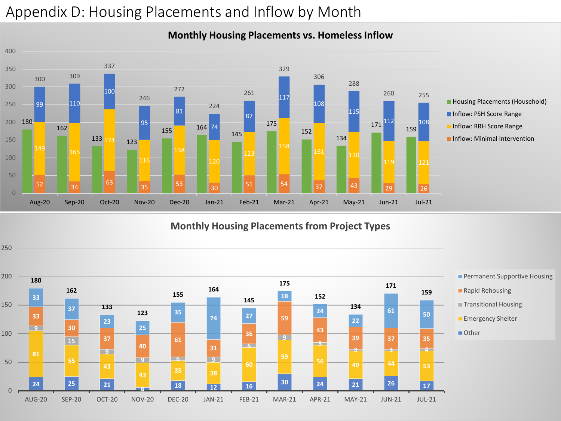# Appendix D: Housing Placements and Inflow by Month

#### 133 174 123 171<sup>112</sup> 159<sup>108</sup> 52 34 35 53 30 5<sup>51</sup> 5<sup>4</sup> 37 4<sup>3</sup> 39 3 161 130 12 99 110 164 74 <sup>309</sup> 255 Aug-20 Sep-20 Oct-20 Nov-20 Dec-20 Jan-21 Feb-21 Mar-21 Apr-21 May-21 Jun-21 Jul-21 **Housing Placements (Household) Inflow: PSH Score Range** Inflow: RRH Score Range **Inflow: Minimal Intervention**

#### **Monthly Housing Placements vs. Homeless Inflow**

**Monthly Housing Placements from Project Types**

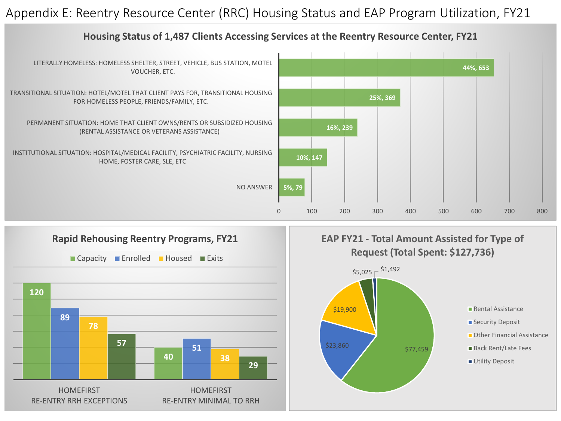## Appendix E: Reentry Resource Center (RRC) Housing Status and EAP Program Utilization, FY21



### **Housing Status of 1,487 Clients Accessing Services at the Reentry Resource Center, FY21**





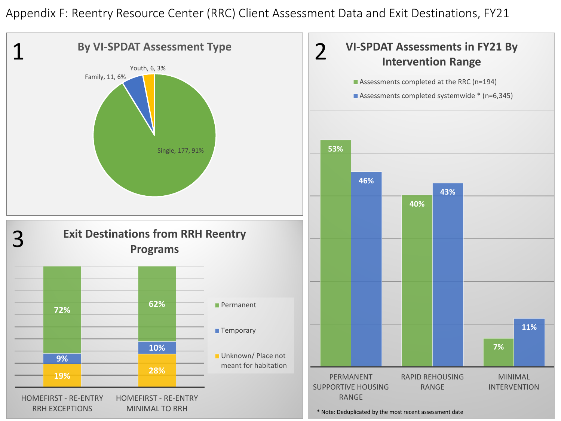Appendix F: Reentry Resource Center (RRC) Client Assessment Data and Exit Destinations, FY21